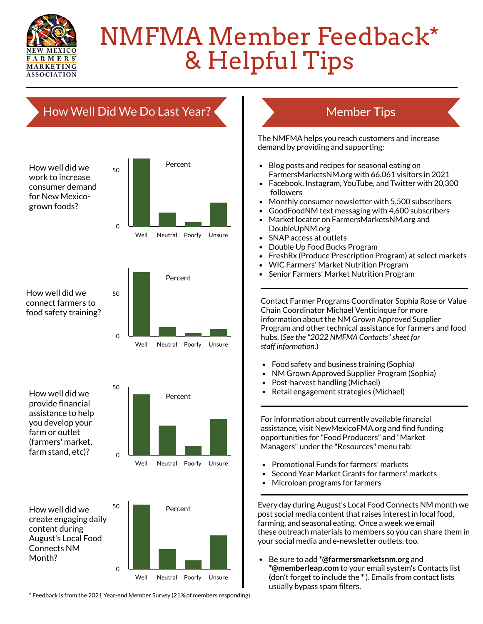

## NMFMA Member Feedback\* & Helpful Tips

## How Well Did We Do Last Year?

How well did we create engaging daily content during August's Local Food Connects NM Month?

How well did we provide financial assistance to help you develop your farm or outlet (farmers' market, farm stand, etc)?

How well did we connect farmers to food safety training?

How well did we work to increase consumer demand for New Mexicogrown foods?

## Member Tips

Every day during August's Local Food Connects NM month we post social media content that raises interest in local food, farming, and seasonal eating. Once a week we email these outreach materials to members so you can share them in your social media and e-newsletter outlets, too.

- Double Up Food Bucks Program
- FreshRx (Produce Prescription Program) at select markets
- WIC Farmers' Market Nutrition Program
- Senior Farmers' Market Nutrition Program

Be sure to add **\*@farmersmarketsnm.org** and **\*@memberleap.com** to your email system's Contacts list (don't forget to include the **\*** ). Emails from contact lists usually bypass spam filters.

For information about currently available financial assistance, visit NewMexicoFMA.org and find funding opportunities for "Food Producers" and "Market Managers" under the "Resources" menu tab:

- Promotional Funds for farmers' markets
- Second Year Market Grants for farmers' markets
- Microloan programs for farmers

The NMFMA helps you reach customers and increase demand by providing and supporting:









- Blog posts and recipes for seasonal eating on FarmersMarketsNM.org with 66,061 visitors in 2021
- Facebook, Instagram, YouTube, and Twitter with 20,300 followers
- Monthly consumer newsletter with 5,500 subscribers
- GoodFoodNM text messaging with 4,600 subscribers
- Market locator on FarmersMarketsNM.org and DoubleUpNM.org
- SNAP access at outlets

\* Feedback is from the 2021 Year-end Member Survey (21% of members responding)

Contact Farmer Programs Coordinator Sophia Rose or Value Chain Coordinator Michael Venticinque for more information about the NM Grown Approved Supplier Program and other technical assistance for farmers and food hubs. (*See the "2022 NMFMA Contacts"sheet for staff information.*)

- Food safety and business training (Sophia)
- NM Grown Approved Supplier Program (Sophia)
- Post-harvest handling (Michael)
- Retail engagement strategies (Michael)